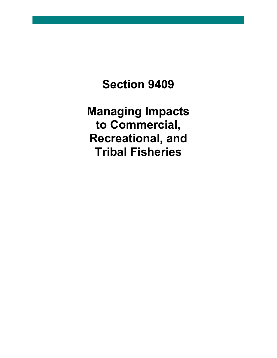# **Section 9409**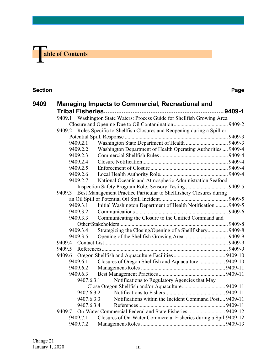

#### **Section Page**

| 9409 |        | <b>Managing Impacts to Commercial, Recreational and</b>          |                                                                             |  |  |  |  |
|------|--------|------------------------------------------------------------------|-----------------------------------------------------------------------------|--|--|--|--|
|      |        |                                                                  |                                                                             |  |  |  |  |
|      |        |                                                                  | 9409.1 Washington State Waters: Process Guide for Shellfish Growing Area    |  |  |  |  |
|      |        |                                                                  |                                                                             |  |  |  |  |
|      |        |                                                                  | 9409.2 Roles Specific to Shellfish Closures and Reopening during a Spill or |  |  |  |  |
|      |        |                                                                  |                                                                             |  |  |  |  |
|      |        | 9409.2.1                                                         |                                                                             |  |  |  |  |
|      |        | 9409.2.2                                                         | Washington Department of Health Operating Authorities  9409-4               |  |  |  |  |
|      |        | 9409.2.3                                                         |                                                                             |  |  |  |  |
|      |        | 9409.2.4                                                         |                                                                             |  |  |  |  |
|      |        | 9409.2.5                                                         |                                                                             |  |  |  |  |
|      |        | 9409.2.6                                                         |                                                                             |  |  |  |  |
|      |        | 9409.2.7                                                         | National Oceanic and Atmospheric Administration Seafood                     |  |  |  |  |
|      |        |                                                                  |                                                                             |  |  |  |  |
|      |        |                                                                  | 9409.3 Best Management Practice Particular to Shellfishery Closures during  |  |  |  |  |
|      |        |                                                                  |                                                                             |  |  |  |  |
|      |        | 9409.3.1                                                         | Initial Washington Department of Health Notification  9409-5                |  |  |  |  |
|      |        | 9409.3.2                                                         |                                                                             |  |  |  |  |
|      |        | Communicating the Closure to the Unified Command and<br>9409.3.3 |                                                                             |  |  |  |  |
|      |        |                                                                  |                                                                             |  |  |  |  |
|      |        | 9409.3.4                                                         | Strategizing the Closing/Opening of a Shellfishery 9409-8                   |  |  |  |  |
|      |        | 9409.3.5                                                         |                                                                             |  |  |  |  |
|      |        |                                                                  |                                                                             |  |  |  |  |
|      |        |                                                                  |                                                                             |  |  |  |  |
|      |        | 9409.6.1                                                         | Closures of Oregon Shellfish and Aquaculture  9409-10                       |  |  |  |  |
|      |        | 9409.6.2                                                         |                                                                             |  |  |  |  |
|      |        | 9409.6.3                                                         |                                                                             |  |  |  |  |
|      |        | 9407.6.3.1                                                       | Notifications to Regulatory Agencies that May                               |  |  |  |  |
|      |        |                                                                  |                                                                             |  |  |  |  |
|      |        | 9407.6.3.2                                                       |                                                                             |  |  |  |  |
|      |        | 9407.6.3.3                                                       | Notifications within the Incident Command Post 9409-11                      |  |  |  |  |
|      |        |                                                                  | 9407.6.3.4                                                                  |  |  |  |  |
|      | 9409.7 |                                                                  | On-Water Commercial Federal and State Fisheries 9409-12                     |  |  |  |  |
|      |        | 9409.7.1                                                         | Closures of On-Water Commercial Fisheries during a Spill 9409-12            |  |  |  |  |
|      |        | 9409.7.2                                                         |                                                                             |  |  |  |  |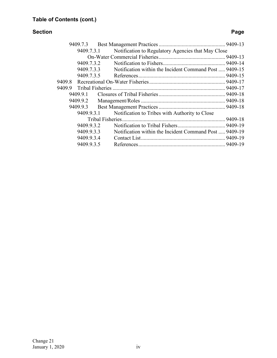### **Section Page**

| Notification to Regulatory Agencies that May Close<br>9409.7.3.1     |  |
|----------------------------------------------------------------------|--|
|                                                                      |  |
| 9409.7.3.2                                                           |  |
| 9409.7.3.3<br>Notification within the Incident Command Post  9409-15 |  |
| 9409.7.3.5                                                           |  |
|                                                                      |  |
|                                                                      |  |
| 9409.9.1                                                             |  |
|                                                                      |  |
|                                                                      |  |
| Notification to Tribes with Authority to Close<br>9409.9.3.1         |  |
|                                                                      |  |
| 9409.9.3.2                                                           |  |
| Notification within the Incident Command Post  9409-19<br>9409.9.3.3 |  |
| 9409.9.3.4                                                           |  |
| 9409.9.3.5                                                           |  |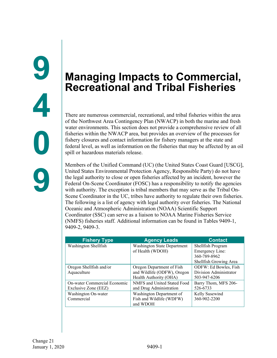# <span id="page-3-1"></span><span id="page-3-0"></span>**Managing Impacts to Commercial, Recreational and Tribal Fisheries**

There are numerous commercial, recreational, and tribal fisheries within the area of the Northwest Area Contingency Plan (NWACP) in both the marine and fresh water environments. This section does not provide a comprehensive review of all fisheries within the NWACP area, but provides an overview of the processes for fishery closures and contact information for fishery managers at the state and federal level, as well as information on the fisheries that may be affected by an oil spill or hazardous materials release.

Members of the Unified Command (UC) (the United States Coast Guard [USCG], United States Environmental Protection Agency, Responsible Party) do not have the legal authority to close or open fisheries affected by an incident, however the Federal On-Scene Coordinator (FOSC) has a responsibility to notify the agencies with authority. The exception is tribal members that may serve as the Tribal On-Scene Coordinator in the UC, tribes have authority to regulate their own fisheries. The following is a list of agency with legal authority over fisheries. The National Oceanic and Atmospheric Administration (NOAA) Scientific Support Coordinator (SSC) can serve as a liaison to NOAA Marine Fisheries Service (NMFS) fisheries staff. Additional information can be found in Tables 9409-1, 9409-2, 9409-3.

| <b>Fishery Type</b>          | <b>Agency Leads</b>                | <b>Contact</b>         |
|------------------------------|------------------------------------|------------------------|
| Washington Shellfish         | <b>Washington State Department</b> | Shellfish Program      |
|                              | of Health (WDOH)                   | Emergency Line:        |
|                              |                                    | 360-789-8962           |
|                              |                                    | Shellfish Growing Area |
| Oregon Shellfish and/or      | Oregon Department of Fish          | ODFW: Ed Bowles, Fish  |
| Aquaculture                  | and Wildlife (ODFW), Oregon        | Division Administrator |
|                              | Health Authority (OHA)             | 503-947-6206           |
| On-water Commercial Economic | NMFS and United Stated Food        | Barry Thom, MFS 206-   |
| Exclusive Zone (EEZ)         | and Drug Administration            | 526-6733               |
| Washington On-water          | Washington Department of           | Kelly Susewind         |
| Commercial                   | Fish and Wildlife (WDFW)           | 360-902-2200           |
|                              | and WDOH                           |                        |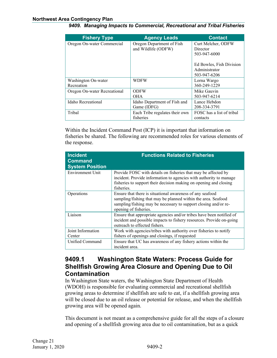| <b>Fishery Type</b>          | <b>Agency Leads</b>            | <b>Contact</b>            |
|------------------------------|--------------------------------|---------------------------|
| Oregon On-water Commercial   | Oregon Department of Fish      | Curt Melcher, ODFW        |
|                              | and Wildlife (ODFW)            | Director                  |
|                              |                                | 503-947-6000              |
|                              |                                |                           |
|                              |                                | Ed Bowles, Fish Division  |
|                              |                                | Administrator             |
|                              |                                | 503-947-6206              |
| Washington On-water          | <b>WDFW</b>                    | Lorna Wargo               |
| Recreation                   |                                | 360-249-1229              |
| Oregon On-water Recreational | <b>ODFW</b>                    | Mike Gauvin               |
|                              | <b>OHA</b>                     | 503-947-6214              |
| Idaho Recreational           | Idaho Department of Fish and   | Lance Hebdon              |
|                              | Game (IDFG)                    | 208-334-3791              |
| Tribal                       | Each Tribe regulates their own | FOSC has a list of tribal |
|                              | fisheries                      | contacts                  |

Within the Incident Command Post (ICP) it is important that information on fisheries be shared. The following are recommended roles for various elements of the response.

| <b>Incident</b><br><b>Command</b><br><b>System Position</b> | <b>Functions Related to Fisheries</b>                                                                                                                                                                                   |
|-------------------------------------------------------------|-------------------------------------------------------------------------------------------------------------------------------------------------------------------------------------------------------------------------|
| <b>Environment Unit</b>                                     | Provide FOSC with details on fisheries that may be affected by<br>incident. Provide information to agencies with authority to manage<br>fisheries to support their decision making on opening and closing<br>fisheries. |
| Operations                                                  | Ensure that there is situational awareness of any seafood<br>sampling/fishing that may be planned within the area. Seafood<br>sampling/fishing may be necessary to support closing and/or re-<br>opening of fisheries.  |
| Liaison                                                     | Ensure that appropriate agencies and/or tribes have been notified of<br>incident and possible impacts to fishery resources. Provide on-going<br>outreach to effected fishers.                                           |
| Joint Information                                           | Work with agencies/tribes with authority over fisheries to notify                                                                                                                                                       |
| Center                                                      | fishers of openings and closings, if requested                                                                                                                                                                          |
| Unified Command                                             | Ensure that UC has awareness of any fishery actions within the<br>incident area.                                                                                                                                        |

# <span id="page-4-0"></span>**9409.1 Washington State Waters: Process Guide for Shellfish Growing Area Closure and Opening Due to Oil Contamination**

In Washington State waters, the Washington State Department of Health (WDOH) is responsible for evaluating commercial and recreational shellfish growing areas to determine if shellfish are safe to eat, if a shellfish growing area will be closed due to an oil release or potential for release, and when the shellfish growing area will be opened again.

This document is not meant as a comprehensive guide for all the steps of a closure and opening of a shellfish growing area due to oil contamination, but as a quick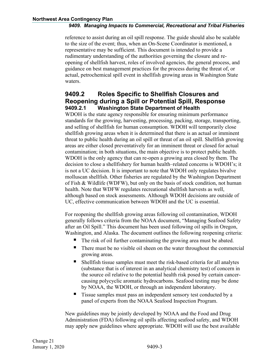reference to assist during an oil spill response. The guide should also be scalable to the size of the event; thus, when an On-Scene Coordinator is mentioned, a representative may be sufficient. This document is intended to provide a rudimentary understanding of the authorities governing the closure and reopening of shellfish harvest, roles of involved agencies, the general process, and guidance on best management practices for the process during the threat of, or actual, petrochemical spill event in shellfish growing areas in Washington State waters.

# <span id="page-5-0"></span>**9409.2 Roles Specific to Shellfish Closures and Reopening during a Spill or Potential Spill, Response 9409.2.1 Washington State Department of Health**

<span id="page-5-1"></span>WDOH is the state agency responsible for ensuring minimum performance standards for the growing, harvesting, processing, packing, storage, transporting, and selling of shellfish for human consumption. WDOH will temporarily close shellfish growing areas when it is determined that there is an actual or imminent threat to public health during an oil spill or threat of an oil spill. Shellfish growing areas are either closed preventatively for an imminent threat or closed for actual contamination; in both situations, the main objective is to protect public health. WDOH is the only agency that can re-open a growing area closed by them. The decision to close a shellfishery for human health–related concerns is WDOH's; it is not a UC decision. It is important to note that WDOH only regulates bivalve molluscan shellfish. Other fisheries are regulated by the Washington Department of Fish & Wildlife (WDFW), but only on the basis of stock condition, not human health. Note that WDFW regulates recreational shellfish harvests as well, although based on stock assessments. Although WDOH decisions are outside of UC, effective communication between WDOH and the UC is essential.

For reopening the shellfish growing areas following oil contamination, WDOH generally follows criteria from the NOAA document, "Managing Seafood Safety after an Oil Spill." This document has been used following oil spills in Oregon, Washington, and Alaska. The document outlines the following reopening criteria:

- The risk of oil further contaminating the growing area must be abated.
- There must be no visible oil sheen on the water throughout the commercial growing areas.
- Shellfish tissue samples must meet the risk-based criteria for all analytes (substance that is of interest in an analytical chemistry test) of concern in the source oil relative to the potential health risk posed by certain cancercausing polycyclic aromatic hydrocarbons. Seafood testing may be done by NOAA, the WDOH, or through an independent laboratory.
- Tissue samples must pass an independent sensory test conducted by a panel of experts from the NOAA Seafood Inspection Program.

New guidelines may be jointly developed by NOAA and the Food and Drug Administration (FDA) following oil spills affecting seafood safety, and WDOH may apply new guidelines where appropriate. WDOH will use the best available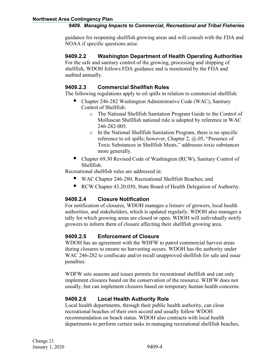guidance for reopening shellfish growing areas and will consult with the FDA and NOAA if specific questions arise.

#### <span id="page-6-0"></span>**9409.2.2 Washington Department of Health Operating Authorities**

For the safe and sanitary control of the growing, processing and shipping of shellfish, WDOH follows FDA guidance and is monitored by the FDA and audited annually.

### <span id="page-6-1"></span>**9409.2.3 Commercial Shellfish Rules**

The following regulations apply to oil spills in relation to commercial shellfish:

- Chapter 246-282 Washington Administrative Code (WAC), Sanitary Control of Shellfish:
	- o The National Shellfish Sanitation Program Guide to the Control of Molluscan Shellfish national rule is adopted by reference in WAC 246-282-005.
	- o In the National Shellfish Sanitation Program, there is no specific reference to oil spills; however, Chapter 2, @.05, "Presence of Toxic Substances in Shellfish Meats," addresses toxic substances more generally.
- Chapter 69.30 Revised Code of Washington (RCW), Sanitary Control of Shellfish.

Recreational shellfish rules are addressed in:

- WAC Chapter 246-280, Recreational Shellfish Beaches; and
- RCW Chapter 43.20.050, State Board of Health Delegation of Authority.

### <span id="page-6-2"></span>**9409.2.4 Closure Notification**

For notification of closures, WDOH manages a listserv of growers, local health authorities, and stakeholders, which is updated regularly. WDOH also manages a tally for which growing areas are closed or open. WDOH will individually notify growers to inform them of closure affecting their shellfish growing area.

## <span id="page-6-3"></span>**9409.2.5 Enforcement of Closure**

WDOH has an agreement with the WDFW to patrol commercial harvest areas during closures to ensure no harvesting occurs. WDOH has the authority under WAC 246-282 to confiscate and/or recall unapproved shellfish for sale and issue penalties.

WDFW sets seasons and issues permits for recreational shellfish and can only implement closures based on the conservation of the resource. WDFW does not usually, but can implement closures based on temporary human health concerns.

### <span id="page-6-4"></span>**9409.2.6 Local Health Authority Role**

Local health departments, through their public health authority, can close recreational beaches of their own accord and usually follow WDOH recommendation on beach status. WDOH also contracts with local health departments to perform certain tasks in managing recreational shellfish beaches,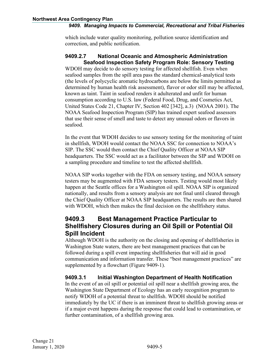which include water quality monitoring, pollution source identification and correction, and public notification.

#### <span id="page-7-0"></span>**9409.2.7 National Oceanic and Atmospheric Administration Seafood Inspection Safety Program Role: Sensory Testing**

WDOH may decide to do sensory testing for affected shellfish. Even when seafood samples from the spill area pass the standard chemical-analytical tests (the levels of polycyclic aromatic hydrocarbons are below the limits permitted as determined by human health risk assessment), flavor or odor still may be affected, known as taint. Taint in seafood renders it adulterated and unfit for human consumption according to U.S. law (Federal Food, Drug, and Cosmetics Act, United States Code 21, Chapter IV, Section 402 [342], a.3) (NOAA 2001). The NOAA Seafood Inspection Program (SIP) has trained expert seafood assessors that use their sense of smell and taste to detect any unusual odors or flavors in seafood.

In the event that WDOH decides to use sensory testing for the monitoring of taint in shellfish, WDOH would contact the NOAA SSC for connection to NOAA's SIP. The SSC would then contact the Chief Quality Officer at NOAA SIP headquarters. The SSC would act as a facilitator between the SIP and WDOH on a sampling procedure and timeline to test the affected shellfish.

NOAA SIP works together with the FDA on sensory testing, and NOAA sensory testers may be augmented with FDA sensory testers. Testing would most likely happen at the Seattle offices for a Washington oil spill. NOAA SIP is organized nationally, and results from a sensory analysis are not final until cleared through the Chief Quality Officer at NOAA SIP headquarters. The results are then shared with WDOH, which then makes the final decision on the shellfishery status.

# <span id="page-7-1"></span>**9409.3 Best Management Practice Particular to Shellfishery Closures during an Oil Spill or Potential Oil Spill Incident**

Although WDOH is the authority on the closing and opening of shellfisheries in Washington State waters, there are best management practices that can be followed during a spill event impacting shellfisheries that will aid in good communication and information transfer. These "best management practices" are supplemented by a flowchart (Figure 9409-1).

#### <span id="page-7-2"></span>**9409.3.1 Initial Washington Department of Health Notification**

In the event of an oil spill or potential oil spill near a shellfish growing area, the Washington State Department of Ecology has an early recognition program to notify WDOH of a potential threat to shellfish. WDOH should be notified immediately by the UC if there is an imminent threat to shellfish growing areas or if a major event happens during the response that could lead to contamination, or further contamination, of a shellfish growing area.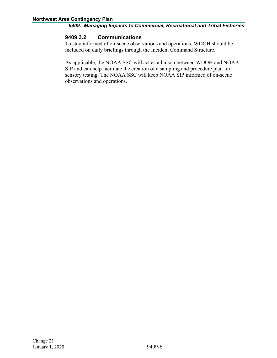#### <span id="page-8-0"></span>**9409.3.2 Communications**

To stay informed of on-scene observations and operations, WDOH should be included on daily briefings through the Incident Command Structure.

As applicable, the NOAA SSC will act as a liaison between WDOH and NOAA SIP and can help facilitate the creation of a sampling and procedure plan for sensory testing. The NOAA SSC will keep NOAA SIP informed of on-scene observations and operations.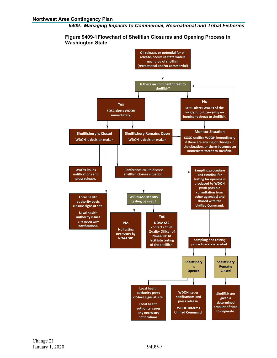

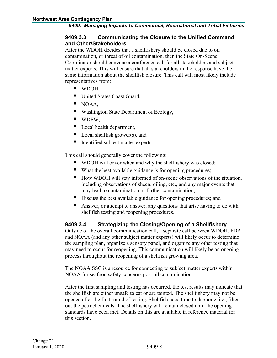#### <span id="page-10-0"></span>**9409.3.3 Communicating the Closure to the Unified Command and Other/Stakeholders**

After the WDOH decides that a shellfishery should be closed due to oil contamination, or threat of oil contamination, then the State On-Scene Coordinator should convene a conference call for all stakeholders and subject matter experts. This will ensure that all stakeholders in the response have the same information about the shellfish closure. This call will most likely include representatives from:

- **WDOH,**
- United States Coast Guard,
- $\blacksquare$  NOAA,
- Washington State Department of Ecology,
- **U** WDFW,
- Local health department,
- Local shellfish grower(s), and
- Identified subject matter experts.

This call should generally cover the following:

- WDOH will cover when and why the shellfishery was closed;
- What the best available guidance is for opening procedures;
- How WDOH will stay informed of on-scene observations of the situation, including observations of sheen, oiling, etc., and any major events that may lead to contamination or further contamination;
- Discuss the best available guidance for opening procedures; and
- Answer, or attempt to answer, any questions that arise having to do with shellfish testing and reopening procedures.

#### <span id="page-10-1"></span>**9409.3.4 Strategizing the Closing/Opening of a Shellfishery**

Outside of the overall communication call, a separate call between WDOH, FDA and NOAA (and any other subject matter experts) will likely occur to determine the sampling plan, organize a sensory panel, and organize any other testing that may need to occur for reopening. This communication will likely be an ongoing process throughout the reopening of a shellfish growing area.

The NOAA SSC is a resource for connecting to subject matter experts within NOAA for seafood safety concerns post oil contamination.

After the first sampling and testing has occurred, the test results may indicate that the shellfish are either unsafe to eat or are tainted. The shellfishery may not be opened after the first round of testing. Shellfish need time to depurate, i.e., filter out the petrochemicals. The shellfishery will remain closed until the opening standards have been met. Details on this are available in reference material for this section.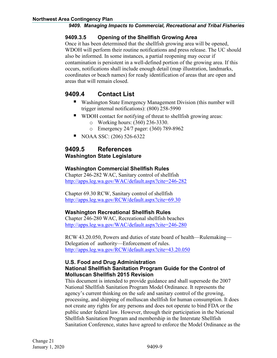#### <span id="page-11-0"></span>**9409.3.5 Opening of the Shellfish Growing Area**

Once it has been determined that the shellfish growing area will be opened, WDOH will perform their routine notifications and press release. The UC should also be informed. In some instances, a partial reopening may occur if contamination is persistent in a well-defined portion of the growing area. If this occurs, notifications shall include enough detail (map illustration, landmarks, coordinates or beach names) for ready identification of areas that are open and areas that will remain closed.

# <span id="page-11-1"></span>**9409.4 Contact List**

- Washington State Emergency Management Division (this number will trigger internal notifications): (800) 258-5990
- WDOH contact for notifying of threat to shellfish growing areas:
	- o Working hours: (360) 236-3330.
	- o Emergency 24/7 pager: (360) 789-8962
- NOAA SSC: (206) 526-6322

### <span id="page-11-2"></span>**9409.5 References Washington State Legislature**

#### **Washington Commercial Shellfish Rules**

Chapter 246-282 WAC, Sanitary control of shellfish <http://apps.leg.wa.gov/WAC/default.aspx?cite=246-282>

Chapter 69.30 RCW, Sanitary control of shellfish <http://apps.leg.wa.gov/RCW/default.aspx?cite=69.30>

#### **Washington Recreational Shellfish Rules**

Chapter 246-280 WAC, Recreational shellfish beaches <http://apps.leg.wa.gov/WAC/default.aspx?cite=246-280>

RCW 43.20.050, Powers and duties of state board of health—Rulemaking— Delegation of authority—Enforcement of rules. <http://apps.leg.wa.gov/RCW/default.aspx?cite=43.20.050>

#### **U.S. Food and Drug Administration National Shellfish Sanitation Program Guide for the Control of Molluscan Shellfish 2015 Revision**

This document is intended to provide guidance and shall supersede the 2007 National Shellfish Sanitation Program Model Ordinance. It represents the agency's current thinking on the safe and sanitary control of the growing, processing, and shipping of molluscan shellfish for human consumption. It does not create any rights for any persons and does not operate to bind FDA or the public under federal law. However, through their participation in the National Shellfish Sanitation Program and membership in the Interstate Shellfish Sanitation Conference, states have agreed to enforce the Model Ordinance as the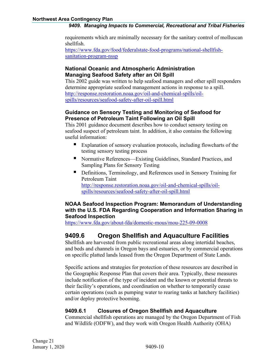requirements which are minimally necessary for the sanitary control of molluscan shellfish.

[https://www.fda.gov/food/federalstate-food-programs/national-shellfish](https://www.fda.gov/food/federalstate-food-programs/national-shellfish-sanitation-program-nssp)[sanitation-program-nssp](https://www.fda.gov/food/federalstate-food-programs/national-shellfish-sanitation-program-nssp)

#### **National Oceanic and Atmospheric Administration Managing Seafood Safety after an Oil Spill**

This 2002 guide was written to help seafood managers and other spill responders determine appropriate seafood management actions in response to a spill. [http://response.restoration.noaa.gov/oil-and-chemical-spills/oil](http://response.restoration.noaa.gov/oil-and-chemical-spills/oil-spills/resources/seafood-safety-after-oil-spill.html)[spills/resources/seafood-safety-after-oil-spill.html](http://response.restoration.noaa.gov/oil-and-chemical-spills/oil-spills/resources/seafood-safety-after-oil-spill.html)

#### **Guidance on Sensory Testing and Monitoring of Seafood for Presence of Petroleum Taint Following an Oil Spill**

This 2001 guidance document describes how to conduct sensory testing on seafood suspect of petroleum taint. In addition, it also contains the following useful information:

- Explanation of sensory evaluation protocols, including flowcharts of the testing sensory testing process
- Normative References—Existing Guidelines, Standard Practices, and Sampling Plans for Sensory Testing
- Definitions, Terminology, and References used in Sensory Training for Petroleum Taint [http://response.restoration.noaa.gov/oil-and-chemical-spills/oil](http://response.restoration.noaa.gov/oil-and-chemical-spills/oil-spills/resources/seafood-safety-after-oil-spill.html)[spills/resources/seafood-safety-after-oil-spill.html](http://response.restoration.noaa.gov/oil-and-chemical-spills/oil-spills/resources/seafood-safety-after-oil-spill.html)

#### **NOAA Seafood Inspection Program: Memorandum of Understanding with the U.S. FDA Regarding Cooperation and Information Sharing in Seafood Inspection**

<https://www.fda.gov/about-fda/domestic-mous/mou-225-09-0008>

# <span id="page-12-0"></span>**9409.6 Oregon Shellfish and Aquaculture Facilities**

Shellfish are harvested from public recreational areas along intertidal beaches, and beds and channels in Oregon bays and estuaries, or by commercial operations on specific platted lands leased from the Oregon Department of State Lands.

Specific actions and strategies for protection of these resources are described in the Geographic Response Plan that covers their area. Typically, these measures include notification of the type of incident and the known or potential threats to their facility's operations, and coordination on whether to temporarily cease certain operations (such as pumping water to rearing tanks at hatchery facilities) and/or deploy protective booming.

### <span id="page-12-1"></span>**9409.6.1 Closures of Oregon Shellfish and Aquaculture**

Commercial shellfish operations are managed by the Oregon Department of Fish and Wildlife (ODFW), and they work with Oregon Health Authority (OHA)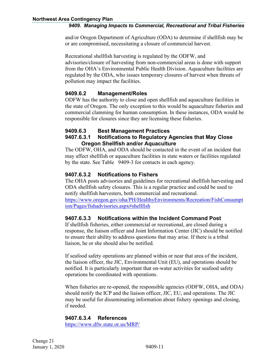and/or Oregon Department of Agriculture (ODA) to determine if shellfish may be or are compromised, necessitating a closure of commercial harvest.

Recreational shellfish harvesting is regulated by the ODFW, and advisories/closure of harvesting from non-commercial areas is done with support from the OHA's Environmental Public Health Division. Aquaculture facilities are regulated by the ODA, who issues temporary closures of harvest when threats of pollution may impact the facilities.

#### <span id="page-13-0"></span>**9409.6.2 Management/Roles**

ODFW has the authority to close and open shellfish and aquaculture facilities in the state of Oregon. The only exception to this would be aquaculture fisheries and commercial clamming for human consumption. In these instances, ODA would be responsible for closures since they are licensing these fisheries.

#### <span id="page-13-2"></span><span id="page-13-1"></span>**9409.6.3 Best Management Practices 9407.6.3.1 Notifications to Regulatory Agencies that May Close Oregon Shellfish and/or Aquaculture**

The ODFW, OHA, and ODA should be contacted in the event of an incident that may affect shellfish or aquaculture facilities in state waters or facilities regulated by the state. See Table 9409-3 for contacts in each agency.

#### <span id="page-13-3"></span>**9407.6.3.2 Notifications to Fishers**

The OHA posts advisories and guidelines for recreational shellfish harvesting and ODA shellfish safety closures. This is a regular practice and could be used to notify shellfish harvesters, both commercial and recreational.

[https://www.oregon.gov/oha/PH/HealthyEnvironments/Recreation/FishConsumpt](https://urldefense.proofpoint.com/v2/url?u=https-3A__www.oregon.gov_oha_PH_HealthyEnvironments_Recreation_FishConsumption_Pages_fishadvisories.aspx-23shellfish&d=DwMGaQ&c=0NKfg44GVknAU-XkWXjNxQ&r=jovK9iI1LgfsGVWwHptuGjTyoxpFwGpv6C4HZS8aibc&m=dj-IMreB5FjhRM-sFhyVhBBoJwLuHpq6DBNS97Ie3Jc&s=fWmh--QyRafFFEznbns7FZilRAkyWmSE438oA0WRERs&e=) [ion/Pages/fishadvisories.aspx#shellfish](https://urldefense.proofpoint.com/v2/url?u=https-3A__www.oregon.gov_oha_PH_HealthyEnvironments_Recreation_FishConsumption_Pages_fishadvisories.aspx-23shellfish&d=DwMGaQ&c=0NKfg44GVknAU-XkWXjNxQ&r=jovK9iI1LgfsGVWwHptuGjTyoxpFwGpv6C4HZS8aibc&m=dj-IMreB5FjhRM-sFhyVhBBoJwLuHpq6DBNS97Ie3Jc&s=fWmh--QyRafFFEznbns7FZilRAkyWmSE438oA0WRERs&e=)

#### <span id="page-13-4"></span>**9407.6.3.3 Notifications within the Incident Command Post**

If shellfish fisheries, either commercial or recreational, are closed during a response, the liaison officer and Joint Information Center (JIC) should be notified to ensure their ability to address questions that may arise. If there is a tribal liaison, he or she should also be notified.

If seafood safety operations are planned within or near that area of the incident, the liaison officer, the JIC, Environmental Unit (EU), and operations should be notified. It is particularly important that on-water activities for seafood safety operations be coordinated with operations.

When fisheries are re-opened, the responsible agencies (ODFW, OHA, and ODA) should notify the ICP and the liaison officer, JIC, EU, and operations. The JIC may be useful for disseminating information about fishery openings and closing, if needed.

#### <span id="page-13-5"></span>**9407.6.3.4 References**

<https://www.dfw.state.or.us/MRP/>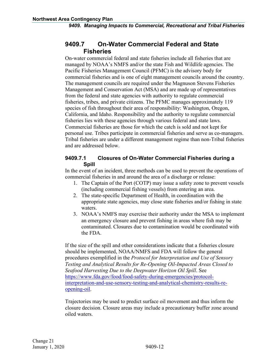# <span id="page-14-0"></span>**9409.7 On-Water Commercial Federal and State Fisheries**

On-water commercial federal and state fisheries include all fisheries that are managed by NOAA's NMFS and/or the state Fish and Wildlife agencies. The Pacific Fisheries Management Council (PFMC) is the advisory body for commercial fisheries and is one of eight management councils around the country. The management councils are required under the Magnuson Stevens Fisheries Management and Conservation Act (MSA) and are made up of representatives from the federal and state agencies with authority to regulate commercial fisheries, tribes, and private citizens. The PFMC manages approximately 119 species of fish throughout their area of responsibility: Washington, Oregon, California, and Idaho. Responsibility and the authority to regulate commercial fisheries lies with these agencies through various federal and state laws. Commercial fisheries are those for which the catch is sold and not kept for personal use. Tribes participate in commercial fisheries and serve as co-managers. Tribal fisheries are under a different management regime than non-Tribal fisheries and are addressed below.

#### <span id="page-14-1"></span>**9409.7.1 Closures of On-Water Commercial Fisheries during a Spill**

In the event of an incident, three methods can be used to prevent the operations of commercial fisheries in and around the area of a discharge or release:

- 1. The Captain of the Port (COTP) may issue a safety zone to prevent vessels (including commercial fishing vessels) from entering an area.
- 2. The state-specific Department of Health, in coordination with the appropriate state agencies, may close state fisheries and/or fishing in state waters.
- 3. NOAA's NMFS may exercise their authority under the MSA to implement an emergency closure and prevent fishing in areas where fish may be contaminated. Closures due to contamination would be coordinated with the FDA.

If the size of the spill and other considerations indicate that a fisheries closure should be implemented, NOAA/NMFS and FDA will follow the general procedures exemplified in the *Protocol for Interpretation and Use of Sensory Testing and Analytical Results for Re-Opening Oil-Impacted Areas Closed to Seafood Harvesting Due to the Deepwater Horizon Oil Spill*. See [https://www.fda.gov/food/food-safety-during-emergencies/protocol](https://www.fda.gov/food/food-safety-during-emergencies/protocol-interpretation-and-use-sensory-testing-and-analytical-chemistry-results-re-opening-oil)[interpretation-and-use-sensory-testing-and-analytical-chemistry-results-re](https://www.fda.gov/food/food-safety-during-emergencies/protocol-interpretation-and-use-sensory-testing-and-analytical-chemistry-results-re-opening-oil)[opening-oil.](https://www.fda.gov/food/food-safety-during-emergencies/protocol-interpretation-and-use-sensory-testing-and-analytical-chemistry-results-re-opening-oil)

Trajectories may be used to predict surface oil movement and thus inform the closure decision. Closure areas may include a precautionary buffer zone around oiled waters.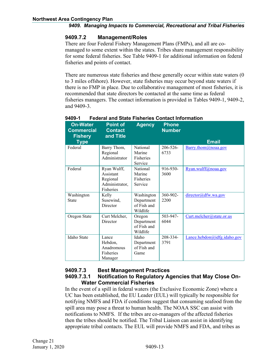#### <span id="page-15-0"></span>**9409.7.2 Management/Roles**

There are four Federal Fishery Management Plans (FMPs), and all are comanaged to some extent within the states. Tribes share management responsibility for some federal fisheries. See Table 9409-1 for additional information on federal fisheries and points of contact.

There are numerous state fisheries and these generally occur within state waters (0 to 3 miles offshore). However, state fisheries may occur beyond state waters if there is no FMP in place. Due to collaborative management of most fisheries, it is recommended that state directors be contacted at the same time as federal fisheries managers. The contact information is provided in Tables 9409-1, 9409-2, and 9409-3.

| <b>On-Water</b><br><b>Commercial</b><br><b>Fishery</b> | <b>Point of</b><br><b>Contact</b><br>and Title                      | <b>Agency</b>                                       | <b>Phone</b><br><b>Number</b> |                             |
|--------------------------------------------------------|---------------------------------------------------------------------|-----------------------------------------------------|-------------------------------|-----------------------------|
| <b>Type</b>                                            |                                                                     |                                                     |                               | <b>Email</b>                |
| Federal                                                | Barry Thom,<br>Regional<br>Administrator                            | <b>National</b><br>Marine<br>Fisheries<br>Service   | $206 - 526 -$<br>6733         | Barry.thom@noaa.gov         |
| Federal                                                | Ryan Wulff,<br>Assistant<br>Regional<br>Administrator,<br>Fisheries | National<br>Marine<br>Fisheries<br>Service          | 916-930-<br>3600              | Ryan.wulff@noaa.gov         |
| Washington<br><b>State</b>                             | Kelly<br>Susewind,<br>Director                                      | Washington<br>Department<br>of Fish and<br>Wildlife | $360 - 902 -$<br>2200         | director@dfw.wa.gov         |
| Oregon State                                           | Curt Melcher,<br>Director                                           | Oregon<br>Department<br>of Fish and<br>Wildlife     | 503-947-<br>6044              | Curt.melcher@state.or.us    |
| Idaho State                                            | Lance<br>Hebdon,<br>Anadromous<br>Fisheries<br>Manager              | Idaho<br>Department<br>of Fish and<br>Game          | 208-334-<br>3791              | Lance.hebdon@idfg.idaho.gov |

#### **9409-1 Federal and State Fisheries Contact Information**

#### <span id="page-15-2"></span><span id="page-15-1"></span>**9409.7.3 Best Management Practices 9409.7.3.1 Notification to Regulatory Agencies that May Close On-Water Commercial Fisheries**

In the event of a spill in federal waters (the Exclusive Economic Zone) where a UC has been established, the EU Leader (EUL) will typically be responsible for notifying NMFS and FDA if conditions suggest that consuming seafood from the spill area may pose a threat to human health. The NOAA SSC can assist with notifications to NMFS. If the tribes are co-managers of the affected fisheries then the tribes should be notified. The Tribal Liaison can assist in identifying appropriate tribal contacts. The EUL will provide NMFS and FDA, and tribes as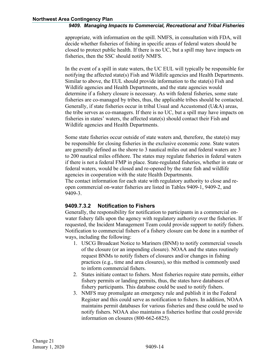appropriate, with information on the spill. NMFS, in consultation with FDA, will decide whether fisheries of fishing in specific areas of federal waters should be closed to protect public health. If there is no UC, but a spill may have impacts on fisheries, then the SSC should notify NMFS.

In the event of a spill in state waters, the UC EUL will typically be responsible for notifying the affected state(s) Fish and Wildlife agencies and Health Departments. Similar to above, the EUL should provide information to the state(s) Fish and Wildlife agencies and Health Departments, and the state agencies would determine if a fishery closure is necessary. As with federal fisheries, some state fisheries are co-managed by tribes, thus, the applicable tribes should be contacted. Generally, if state fisheries occur in tribal Usual and Accustomed (U&A) areas, the tribe serves as co-managers. If there is no UC, but a spill may have impacts on fisheries in states' waters, the affected state(s) should contact their Fish and Wildlife agencies and Health Departments.

Some state fisheries occur outside of state waters and, therefore, the state(s) may be responsible for closing fisheries in the exclusive economic zone. State waters are generally defined as the shore to 3 nautical miles out and federal waters are 3 to 200 nautical miles offshore. The states may regulate fisheries in federal waters if there is not a federal FMP in place. State-regulated fisheries, whether in state or federal waters, would be closed and re-opened by the state fish and wildlife agencies in cooperation with the state Health Departments.

The contact information for each state with regulatory authority to close and reopen commercial on-water fisheries are listed in Tables 9409-1, 9409-2, and 9409-3.

#### <span id="page-16-0"></span>**9409.7.3.2 Notification to Fishers**

Generally, the responsibility for notification to participants in a commercial onwater fishery falls upon the agency with regulatory authority over the fisheries. If requested, the Incident Management Team could provide support to notify fishers. Notification to commercial fishers of a fishery closure can be done in a number of ways, including the following:

- 1. USCG Broadcast Notice to Mariners (BNM) to notify commercial vessels of the closure (or an impending closure). NOAA and the states routinely request BNMs to notify fishers of closures and/or changes in fishing practices (e.g., time and area closures), so this method is commonly used to inform commercial fishers.
- 2. States initiate contact to fishers. Most fisheries require state permits, either fishery permits or landing permits, thus, the states have databases of fishery participants. This database could be used to notify fishers.
- 3. NMFS may promulgate an emergency rule and publish it in the Federal Register and this could serve as notification to fishers. In addition, NOAA maintains permit databases for various fisheries and these could be used to notify fishers. NOAA also maintains a fisheries hotline that could provide information on closures (800-662-6825).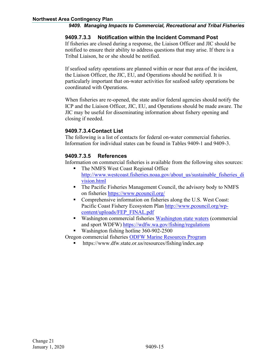#### <span id="page-17-0"></span>**9409.7.3.3 Notification within the Incident Command Post**

If fisheries are closed during a response, the Liaison Officer and JIC should be notified to ensure their ability to address questions that may arise. If there is a Tribal Liaison, he or she should be notified.

If seafood safety operations are planned within or near that area of the incident, the Liaison Officer, the JIC, EU, and Operations should be notified. It is particularly important that on-water activities for seafood safety operations be coordinated with Operations.

When fisheries are re-opened, the state and/or federal agencies should notify the ICP and the Liaison Officer, JIC, EU, and Operations should be made aware. The JIC may be useful for disseminating information about fishery opening and closing if needed.

#### **9409.7.3.4Contact List**

The following is a list of contacts for federal on-water commercial fisheries. Information for individual states can be found in Tables 9409-1 and 9409-3.

### <span id="page-17-1"></span>**9409.7.3.5 References**

Information on commercial fisheries is available from the following sites sources:

- The NMFS West Coast Regional Office [http://www.westcoast.fisheries.noaa.gov/about\\_us/sustainable\\_fisheries\\_di](http://www.westcoast.fisheries.noaa.gov/about_us/sustainable_fisheries_division.html) [vision.html](http://www.westcoast.fisheries.noaa.gov/about_us/sustainable_fisheries_division.html)
- The Pacific Fisheries Management Council, the advisory body to NMFS on fisheries<https://www.pcouncil.org/>
- Comprehensive information on fisheries along the U.S. West Coast: Pacific Coast Fishery Ecosystem Plan [http://www.pcouncil.org/wp](http://www.pcouncil.org/wp-content/uploads/FEP_FINAL.pdf)[content/uploads/FEP\\_FINAL.pdf](http://www.pcouncil.org/wp-content/uploads/FEP_FINAL.pdf)
- Washington commercial fisheries [Washington state waters](http://wdfw.wa.gov/fishing/) (commercial and sport WDFW) <https://wdfw.wa.gov/fishing/regulations>
- Washington fishing hotline 360-902-2500

Oregon commercial fisheries [ODFW Marine Resources Program](http://www.dfw.state.or.us/MRP/)

https://www.dfw.state.or.us/resources/fishing/index.asp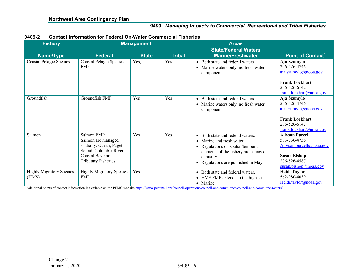| 9409-2<br><b>Contact Information for Federal On-Water Commercial Fisheries</b> |
|--------------------------------------------------------------------------------|
|--------------------------------------------------------------------------------|

| <b>Fishery</b>                           |                                                                                                                                        | <b>Management</b> |               | <b>Areas</b>                                                                                                                                                                                  |                                                                                                                                    |  |
|------------------------------------------|----------------------------------------------------------------------------------------------------------------------------------------|-------------------|---------------|-----------------------------------------------------------------------------------------------------------------------------------------------------------------------------------------------|------------------------------------------------------------------------------------------------------------------------------------|--|
| Name/Type                                | <b>Federal</b>                                                                                                                         | <b>State</b>      | <b>Tribal</b> | <b>State/Federal Waters</b><br><b>Marine/Freshwater</b>                                                                                                                                       | Point of Contact <sup>1</sup>                                                                                                      |  |
| <b>Coastal Pelagic Species</b>           | <b>Coastal Pelagic Species</b><br><b>FMP</b>                                                                                           | Yes,              | Yes           | • Both state and federal waters<br>• Marine waters only, no fresh water<br>component                                                                                                          | Aja Szumylo<br>206-526-4746<br>aja.szumylo@nooa.gov<br><b>Frank Lockhart</b><br>206-526-6142<br>frank.lockhart@noaa.gov            |  |
| Groundfish                               | Groundfish FMP                                                                                                                         | Yes               | Yes           | • Both state and federal waters<br>• Marine waters only, no fresh water<br>component                                                                                                          | Aja Szumylo<br>206-526-4746<br>aja.szumylo@nooa.gov<br><b>Frank Lockhart</b><br>206-526-6142<br>frank.lockhart@noaa.gov            |  |
| Salmon                                   | Salmon FMP<br>Salmon are managed<br>spatially. Ocean, Puget<br>Sound, Columbia River,<br>Coastal Bay and<br><b>Tributary Fisheries</b> | Yes               | Yes           | • Both state and federal waters.<br>• Marine and fresh water.<br>• Regulations on spatial/temporal<br>elements of the fishery are changed<br>annually.<br>• Regulations are published in May. | <b>Allyson Purcell</b><br>503-736-4736<br>Allyson.purcell@noaa.gov<br><b>Susan Bishop</b><br>206-526-4587<br>susan.bishop@noaa.gov |  |
| <b>Highly Migratory Species</b><br>(HMS) | <b>Highly Migratory Species</b><br><b>FMP</b>                                                                                          | Yes               |               | • Both state and federal waters.<br>• HMS FMP extends to the high seas.<br>• Marine                                                                                                           | <b>Heidi Taylor</b><br>562-980-4039<br>Heidi.taylor@noaa.gov                                                                       |  |

<sup>1</sup> Additional points of contact information is available on the PFMC websit[e https://www.pcouncil.org/council-operations/council-and-committees/council-and-committee-rosters/](https://www.pcouncil.org/council-operations/council-and-committees/council-and-committee-rosters/)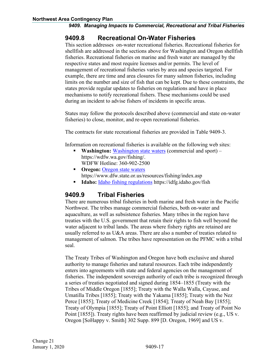# <span id="page-19-0"></span>**9409.8 Recreational On-Water Fisheries**

This section addresses on-water recreational fisheries. Recreational fisheries for shellfish are addressed in the sections above for Washington and Oregon shellfish fisheries. Recreational fisheries on marine and fresh water are managed by the respective states and most require licenses and/or permits. The level of management of recreational fisheries varies by area and species targeted. For example, there are time and area closures for many salmon fisheries, including limits on the number and size of fish that can be kept. Due to these constraints, the states provide regular updates to fisheries on regulations and have in place mechanisms to notify recreational fishers. These mechanisms could be used during an incident to advise fishers of incidents in specific areas.

States may follow the protocols described above (commercial and state on-water fisheries) to close, monitor, and re-open recreational fisheries.

The contracts for state recreational fisheries are provided in Table 9409-3.

Information on recreational fisheries is available on the following web sites:

- **Washington:** [Washington state waters](http://wdfw.wa.gov/fishing/) (commercial and sport) https://wdfw.wa.gov/fishing/. WDFW Hotline: 360-902-2500
- **Civile 1.5 Oregon: [Oregon state waters](http://www.dfw.state.or.us/resources/fishing/)** https://www.dfw.state.or.us/resources/fishing/index.asp
- **Idaho:** [Idaho fishing regulations](http://fishandgame.idaho.gov/public/fish/rules/) https://idfg.idaho.gov/fish

# <span id="page-19-1"></span>**9409.9 Tribal Fisheries**

There are numerous tribal fisheries in both marine and fresh water in the Pacific Northwest. The tribes manage commercial fisheries, both on-water and aquaculture, as well as subsistence fisheries. Many tribes in the region have treaties with the U.S. government that retain their rights to fish well beyond the water adjacent to tribal lands. The areas where fishery rights are retained are usually referred to as U&A areas. There are also a number of treaties related to management of salmon. The tribes have representation on the PFMC with a tribal seal.

The Treaty Tribes of Washington and Oregon have both exclusive and shared authority to manage fisheries and natural resources. Each tribe independently enters into agreements with state and federal agencies on the management of fisheries. The independent sovereign authority of each tribe is recognized through a series of treaties negotiated and signed during 1854–1855 (Treaty with the Tribes of Middle Oregon [1855]; Treaty with the Walla Walla, Cayuse, and Umatilla Tribes [1855]; Treaty with the Yakama [1855]; Treaty with the Nez Perce [1855]; Treaty of Medicine Creek [1854]; Treaty of Neah Bay [1855]; Treaty of Olympia [1855]; Treaty of Point Elliott [1855]; and Treaty of Point No Point [1855]). Treaty rights have been reaffirmed by judicial review (e.g., US v. Oregon [SoHappy v. Smith] 302 Supp. 899 [D. Oregon, 1969] and US v.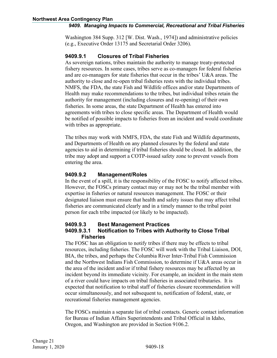Washington 384 Supp. 312 [W. Dist. Wash., 1974]) and administrative policies (e.g., Executive Order 13175 and Secretarial Order 3206).

#### <span id="page-20-0"></span>**9409.9.1 Closures of Tribal Fisheries**

As sovereign nations, tribes maintain the authority to manage treaty-protected fishery resources. In some cases, tribes serve as co-managers for federal fisheries and are co-managers for state fisheries that occur in the tribes' U&A areas. The authority to close and re-open tribal fisheries rests with the individual tribes. NMFS, the FDA, the state Fish and Wildlife offices and/or state Departments of Health may make recommendations to the tribes, but individual tribes retain the authority for management (including closures and re-opening) of their own fisheries. In some areas, the state Department of Health has entered into agreements with tribes to close specific areas. The Department of Health would be notified of possible impacts to fisheries from an incident and would coordinate with tribes as appropriate.

The tribes may work with NMFS, FDA, the state Fish and Wildlife departments, and Departments of Health on any planned closures by the federal and state agencies to aid in determining if tribal fisheries should be closed. In addition, the tribe may adopt and support a COTP-issued safety zone to prevent vessels from entering the area.

#### <span id="page-20-1"></span>**9409.9.2 Management/Roles**

In the event of a spill, it is the responsibility of the FOSC to notify affected tribes. However, the FOSCs primary contact may or may not be the tribal member with expertise in fisheries or natural resources management. The FOSC or their designated liaison must ensure that health and safety issues that may affect tribal fisheries are communicated clearly and in a timely manner to the tribal point person for each tribe impacted (or likely to be impacted).

#### <span id="page-20-2"></span>**9409.9.3 Best Management Practices**

#### <span id="page-20-3"></span>**9409.9.3.1 Notification to Tribes with Authority to Close Tribal Fisheries**

The FOSC has an obligation to notify tribes if there may be effects to tribal resources, including fisheries. The FOSC will work with the Tribal Liaison, DOI, BIA, the tribes, and perhaps the Columbia River Inter-Tribal Fish Commission and the Northwest Indians Fish Commission, to determine if U&A areas occur in the area of the incident and/or if tribal fishery resources may be affected by an incident beyond its immediate vicinity. For example, an incident in the main stem of a river could have impacts on tribal fisheries in associated tributaries. It is expected that notification to tribal staff of fisheries closure recommendation will occur simultaneously, and not subsequent to, notification of federal, state, or recreational fisheries management agencies.

The FOSCs maintain a separate list of tribal contacts. Generic contact information for Bureau of Indian Affairs Superintendents and Tribal Official in Idaho, Oregon, and Washington are provided in Section 9106.2.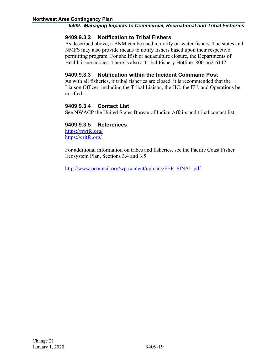#### <span id="page-21-0"></span>**9409.9.3.2 Notification to Tribal Fishers**

As described above, a BNM can be used to notify on-water fishers. The states and NMFS may also provide means to notify fishers based upon their respective permitting program. For shellfish or aquaculture closure, the Departments of Health issue notices. There is also a Tribal Fishery Hotline: 800-562-6142.

#### <span id="page-21-1"></span>**9409.9.3.3 Notification within the Incident Command Post**

As with all fisheries, if tribal fisheries are closed, it is recommended that the Liaison Officer, including the Tribal Liaison, the JIC, the EU, and Operations be notified.

#### <span id="page-21-2"></span>**9409.9.3.4 Contact List**

See NWACP the United States Bureau of Indian Affairs and tribal contact list.

#### <span id="page-21-3"></span>**9409.9.3.5 References**

<https://nwifc.org/> <https://critfc.org/>

For additional information on tribes and fisheries, see the Pacific Coast Fisher Ecosystem Plan, Sections 3.4 and 3.5.

[http://www.pcouncil.org/wp-content/uploads/FEP\\_FINAL.pdf](http://www.pcouncil.org/wp-content/uploads/FEP_FINAL.pdf)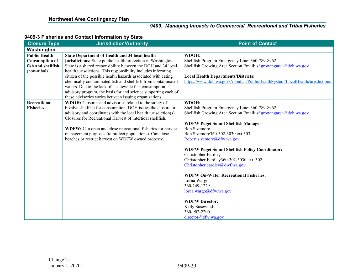#### **9409-3 Fisheries and Contact Information by State**

| <b>Closure Type</b>   | <b>Jurisdiction/Authority</b>                                   | <b>Point of Contact</b>                                                    |
|-----------------------|-----------------------------------------------------------------|----------------------------------------------------------------------------|
| Washington            |                                                                 |                                                                            |
| <b>Public Health</b>  | <b>State Department of Health and 34 local health</b>           | WDOH:                                                                      |
| <b>Consumption of</b> | jurisdictions: State public health protection in Washington     | Shellfish Program Emergency Line: 360-789-8962                             |
| fish and shellfish    | State is a shared responsibility between the DOH and 34 local   | Shellfish Growing Area Section Email: sf.growingarea@doh.wa.gov            |
| (non-tribal)          | health jurisdictions. This responsibility includes informing    |                                                                            |
|                       | citizen of the possible health hazards associated with eating   | <b>Local Health Departments/Districts:</b>                                 |
|                       | chemically contaminated fish and shellfish from contaminated    | https://www.doh.wa.gov/AboutUs/PublicHealthSystem/LocalHealthJurisdictions |
|                       | waters. Due to the lack of a statewide fish consumption         |                                                                            |
|                       | advisory program, the basis for and science supporting each of  |                                                                            |
|                       | these advisories varies between issuing organizations.          |                                                                            |
| Recreational          | WDOH: Closures and advisories related to the safety of          | WDOH:                                                                      |
| <b>Fisheries</b>      | bivalve shellfish for consumption. DOH issues the closure or    | Shellfish Program Emergency Line: 360-789-8962                             |
|                       | advisory and coordinates with the local health jurisdiction(s). | Shellfish Growing Area Section Email: $sf.growngarea@doh.wa.gov$           |
|                       | Closures for Recreational Harvest of intertidal shellfish.      |                                                                            |
|                       | WDFW: Can open and close recreational fisheries for harvest     | <b>WDFW Puget Sound Shellfish Manager</b><br><b>Bob Sizemore</b>           |
|                       | management purposes (to protect populations). Can close         | Bob Sizemore360-302-3030 ext 303                                           |
|                       | beaches or restrict harvest on WDFW owned property.             | Robert.sizemore@dfw.wa.gov                                                 |
|                       |                                                                 |                                                                            |
|                       |                                                                 | <b>WDFW Puget Sound Shellfish Policy Coordinator:</b>                      |
|                       |                                                                 | <b>Christopher Eardley</b>                                                 |
|                       |                                                                 | Christopher Eardley360-302-3030 ext. 302                                   |
|                       |                                                                 | Christopher.eardley@dwf.wa.gov                                             |
|                       |                                                                 |                                                                            |
|                       |                                                                 | <b>WDFW On-Water Recreational Fisheries:</b>                               |
|                       |                                                                 | Lorna Wargo                                                                |
|                       |                                                                 | 360-249-1229                                                               |
|                       |                                                                 | lorna.wargo@dfw.wa.gov                                                     |
|                       |                                                                 | <b>WDFW Director:</b>                                                      |
|                       |                                                                 | Kelly Susewind                                                             |
|                       |                                                                 | 360-902-2200                                                               |
|                       |                                                                 | $direction$ ( $\partial$ dfw.wa.gov                                        |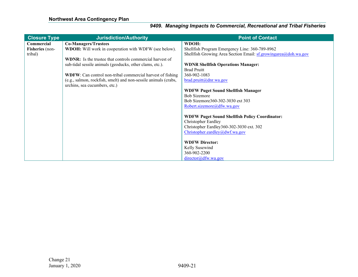| <b>Closure Type</b> | <b>Jurisdiction/Authority</b>                                      | <b>Point of Contact</b>                                         |
|---------------------|--------------------------------------------------------------------|-----------------------------------------------------------------|
| Commercial          | <b>Co-Managers/Trustees</b>                                        | WDOH:                                                           |
| Fisheries (non-     | WDOH: Will work in cooperation with WDFW (see below).              | Shellfish Program Emergency Line: 360-789-8962                  |
| tribal)             |                                                                    | Shellfish Growing Area Section Email: sf.growingarea@doh.wa.gov |
|                     | <b>WDNR:</b> Is the trustee that controls commercial harvest of    |                                                                 |
|                     | sub-tidal sessile animals (geoducks, other clams, etc.).           | <b>WDNR Shellfish Operations Manager:</b>                       |
|                     |                                                                    | <b>Brad Pruitt</b>                                              |
|                     | <b>WDFW</b> : Can control non-tribal commercial harvest of fishing | 360-902-1083                                                    |
|                     | (e.g., salmon, rockfish, smelt) and non-sessile animals (crabs,    | $\frac{\text{brad}}{\text{pruit}(\omega)}$ dnr.wa.gov           |
|                     | urchins, sea cucumbers, etc.)                                      |                                                                 |
|                     |                                                                    | <b>WDFW Puget Sound Shellfish Manager</b>                       |
|                     |                                                                    | <b>Bob Sizemore</b>                                             |
|                     |                                                                    | Bob Sizemore 360-302-3030 ext 303                               |
|                     |                                                                    | Robert.sizemore@dfw.wa.gov                                      |
|                     |                                                                    |                                                                 |
|                     |                                                                    | <b>WDFW Puget Sound Shellfish Policy Coordinator:</b>           |
|                     |                                                                    | <b>Christopher Eardley</b>                                      |
|                     |                                                                    | Christopher Eardley360-302-3030 ext. 302                        |
|                     |                                                                    | Christopher.eardley@dwf.wa.gov                                  |
|                     |                                                                    |                                                                 |
|                     |                                                                    | <b>WDFW Director:</b>                                           |
|                     |                                                                    | Kelly Susewind                                                  |
|                     |                                                                    | 360-902-2200                                                    |
|                     |                                                                    | directory@dfw.wa.gov                                            |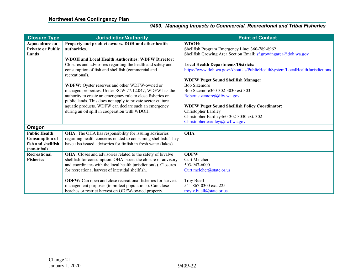| <b>Closure Type</b>      | <b>Jurisdiction/Authority</b>                                      | <b>Point of Contact</b>                                                    |
|--------------------------|--------------------------------------------------------------------|----------------------------------------------------------------------------|
| <b>Aquaculture on</b>    | Property and product owners. DOH and other health                  | WDOH:                                                                      |
| <b>Private or Public</b> | authorities.                                                       | Shellfish Program Emergency Line: 360-789-8962                             |
| Lands                    |                                                                    | Shellfish Growing Area Section Email: sf.growingarea@doh.wa.gov            |
|                          | <b>WDOH and Local Health Authorities: WDFW Director:</b>           |                                                                            |
|                          | Closures and advisories regarding the health and safety and        | <b>Local Health Departments/Districts:</b>                                 |
|                          | consumption of fish and shellfish (commercial and                  | https://www.doh.wa.gov/AboutUs/PublicHealthSystem/LocalHealthJurisdictions |
|                          | recreational).                                                     |                                                                            |
|                          |                                                                    | <b>WDFW Puget Sound Shellfish Manager</b>                                  |
|                          | WDFW: Oyster reserves and other WDFW-owned or                      | <b>Bob Sizemore</b>                                                        |
|                          | managed properties. Under RCW 77.12.047, WDFW has the              | Bob Sizemore360-302-3030 ext 303                                           |
|                          | authority to create an emergency rule to close fisheries on        | Robert.sizemore@dfw.wa.gov                                                 |
|                          | public lands. This does not apply to private sector culture        |                                                                            |
|                          | aquatic products. WDFW can declare such an emergency               | <b>WDFW Puget Sound Shellfish Policy Coordinator:</b>                      |
|                          | during an oil spill in cooperation with WDOH.                      | Christopher Eardley                                                        |
|                          |                                                                    | Christopher Eardley360-302-3030 ext. 302                                   |
|                          |                                                                    | Christopher.eardley@dwf.wa.gov                                             |
| Oregon                   |                                                                    |                                                                            |
| <b>Public Health</b>     | <b>OHA:</b> The OHA has responsibility for issuing advisories      | <b>OHA</b>                                                                 |
| <b>Consumption of</b>    | regarding health concerns related to consuming shellfish. They     |                                                                            |
| fish and shellfish       | have also issued advisories for finfish in fresh water (lakes).    |                                                                            |
| (non-tribal)             |                                                                    |                                                                            |
| Recreational             | OHA: Closes and advisories related to the safety of bivalve        | <b>ODFW</b>                                                                |
| <b>Fisheries</b>         | shellfish for consumption. OHA issues the closure or advisory      | Curt Melcher                                                               |
|                          | and coordinates with the local health jurisdiction(s). Closures    | 503-947-6000                                                               |
|                          | for recreational harvest of intertidal shellfish.                  | Curt.melcher@state.or.us                                                   |
|                          |                                                                    |                                                                            |
|                          | <b>ODFW:</b> Can open and close recreational fisheries for harvest | Troy Buell                                                                 |
|                          | management purposes (to protect populations). Can close            | 541-867-0300 ext. 225                                                      |
|                          | beaches or restrict harvest on ODFW-owned property.                | troy.v.buell@state.or.us                                                   |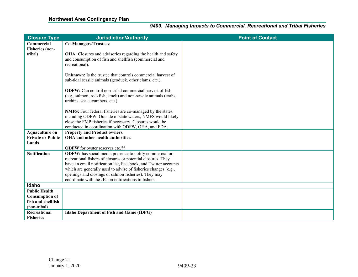| <b>Closure Type</b>      | <b>Jurisdiction/Authority</b>                                                                                                   | <b>Point of Contact</b> |
|--------------------------|---------------------------------------------------------------------------------------------------------------------------------|-------------------------|
| Commercial               | Co-Managers/Trustees:                                                                                                           |                         |
| Fisheries (non-          |                                                                                                                                 |                         |
| tribal)                  | OHA: Closures and advisories regarding the health and safety                                                                    |                         |
|                          | and consumption of fish and shellfish (commercial and                                                                           |                         |
|                          | recreational).                                                                                                                  |                         |
|                          | <b>Unknown:</b> Is the trustee that controls commercial harvest of                                                              |                         |
|                          | sub-tidal sessile animals (geoduck, other clams, etc.).                                                                         |                         |
|                          |                                                                                                                                 |                         |
|                          | <b>ODFW:</b> Can control non-tribal commercial harvest of fish                                                                  |                         |
|                          | (e.g., salmon, rockfish, smelt) and non-sessile animals (crabs,                                                                 |                         |
|                          | urchins, sea cucumbers, etc.).                                                                                                  |                         |
|                          | NMFS: Four federal fisheries are co-managed by the states,                                                                      |                         |
|                          | including ODFW. Outside of state waters, NMFS would likely                                                                      |                         |
|                          | close the FMP fisheries if necessary. Closures would be                                                                         |                         |
|                          | conducted in coordination with ODFW, OHA, and FDA.                                                                              |                         |
| <b>Aquaculture on</b>    | <b>Property and Product owners.</b>                                                                                             |                         |
| <b>Private or Public</b> | OHA and other health authorities.                                                                                               |                         |
| Lands                    |                                                                                                                                 |                         |
|                          | <b>ODFW</b> for oyster reserves etc.??                                                                                          |                         |
| <b>Notification</b>      | ODFW: has social media presence to notify commercial or                                                                         |                         |
|                          | recreational fishers of closures or potential closures. They<br>have an email notification list, Facebook, and Twitter accounts |                         |
|                          | which are generally used to advise of fisheries changes (e.g.,                                                                  |                         |
|                          | openings and closings of salmon fisheries). They may                                                                            |                         |
|                          | coordinate with the JIC on notifications to fishers.                                                                            |                         |
| Idaho                    |                                                                                                                                 |                         |
| <b>Public Health</b>     |                                                                                                                                 |                         |
| <b>Consumption of</b>    |                                                                                                                                 |                         |
| fish and shellfish       |                                                                                                                                 |                         |
| (non-tribal)             |                                                                                                                                 |                         |
| Recreational             | Idaho Department of Fish and Game (IDFG)                                                                                        |                         |
| <b>Fisheries</b>         |                                                                                                                                 |                         |